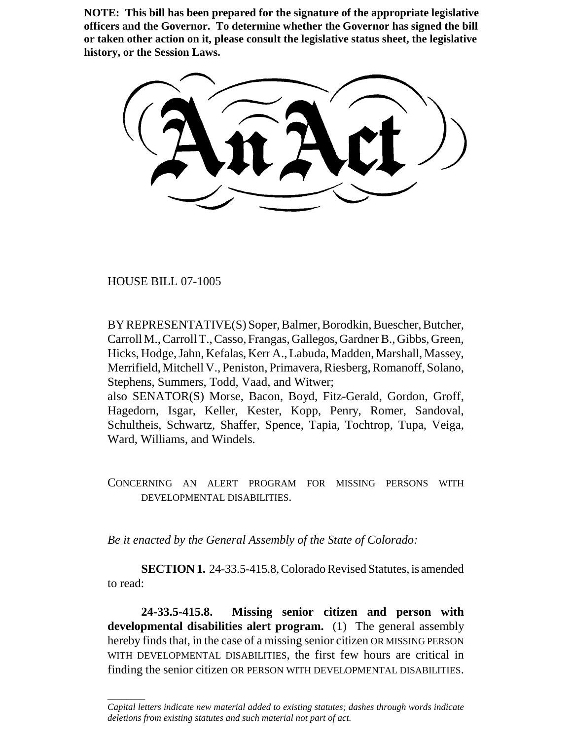**NOTE: This bill has been prepared for the signature of the appropriate legislative officers and the Governor. To determine whether the Governor has signed the bill or taken other action on it, please consult the legislative status sheet, the legislative history, or the Session Laws.**

HOUSE BILL 07-1005

 $\overline{\phantom{a}}$ 

BY REPRESENTATIVE(S) Soper, Balmer, Borodkin, Buescher, Butcher, Carroll M., Carroll T., Casso, Frangas, Gallegos, Gardner B., Gibbs, Green, Hicks, Hodge, Jahn, Kefalas, Kerr A., Labuda, Madden, Marshall, Massey, Merrifield, Mitchell V., Peniston, Primavera, Riesberg, Romanoff, Solano, Stephens, Summers, Todd, Vaad, and Witwer; also SENATOR(S) Morse, Bacon, Boyd, Fitz-Gerald, Gordon, Groff,

Hagedorn, Isgar, Keller, Kester, Kopp, Penry, Romer, Sandoval, Schultheis, Schwartz, Shaffer, Spence, Tapia, Tochtrop, Tupa, Veiga, Ward, Williams, and Windels.

CONCERNING AN ALERT PROGRAM FOR MISSING PERSONS WITH DEVELOPMENTAL DISABILITIES.

*Be it enacted by the General Assembly of the State of Colorado:*

**SECTION 1.** 24-33.5-415.8, Colorado Revised Statutes, is amended to read:

**24-33.5-415.8. Missing senior citizen and person with developmental disabilities alert program.** (1) The general assembly hereby finds that, in the case of a missing senior citizen OR MISSING PERSON WITH DEVELOPMENTAL DISABILITIES, the first few hours are critical in finding the senior citizen OR PERSON WITH DEVELOPMENTAL DISABILITIES.

*Capital letters indicate new material added to existing statutes; dashes through words indicate deletions from existing statutes and such material not part of act.*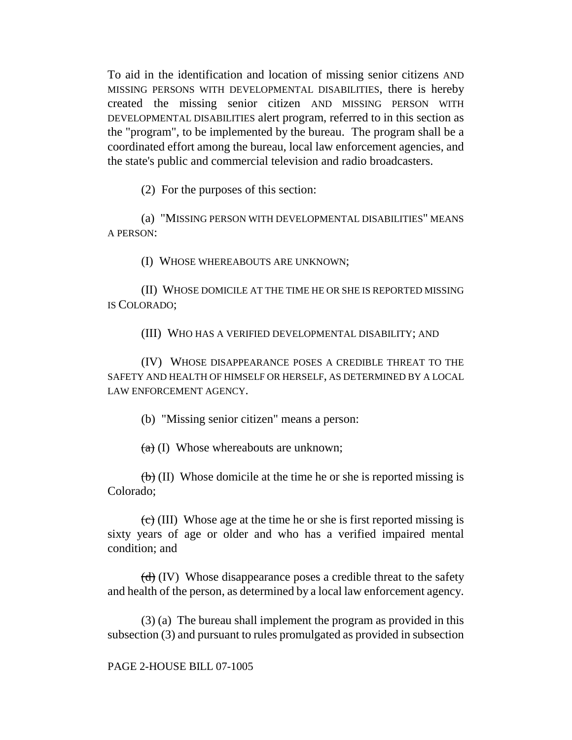To aid in the identification and location of missing senior citizens AND MISSING PERSONS WITH DEVELOPMENTAL DISABILITIES, there is hereby created the missing senior citizen AND MISSING PERSON WITH DEVELOPMENTAL DISABILITIES alert program, referred to in this section as the "program", to be implemented by the bureau. The program shall be a coordinated effort among the bureau, local law enforcement agencies, and the state's public and commercial television and radio broadcasters.

(2) For the purposes of this section:

(a) "MISSING PERSON WITH DEVELOPMENTAL DISABILITIES" MEANS A PERSON:

(I) WHOSE WHEREABOUTS ARE UNKNOWN;

(II) WHOSE DOMICILE AT THE TIME HE OR SHE IS REPORTED MISSING IS COLORADO;

(III) WHO HAS A VERIFIED DEVELOPMENTAL DISABILITY; AND

(IV) WHOSE DISAPPEARANCE POSES A CREDIBLE THREAT TO THE SAFETY AND HEALTH OF HIMSELF OR HERSELF, AS DETERMINED BY A LOCAL LAW ENFORCEMENT AGENCY.

(b) "Missing senior citizen" means a person:

 $(a)$  (I) Whose whereabouts are unknown;

 $(b)$  (II) Whose domicile at the time he or she is reported missing is Colorado;

 $\langle \overline{c} \rangle$  (III) Whose age at the time he or she is first reported missing is sixty years of age or older and who has a verified impaired mental condition; and

 $(d)$  (IV) Whose disappearance poses a credible threat to the safety and health of the person, as determined by a local law enforcement agency.

(3) (a) The bureau shall implement the program as provided in this subsection (3) and pursuant to rules promulgated as provided in subsection

## PAGE 2-HOUSE BILL 07-1005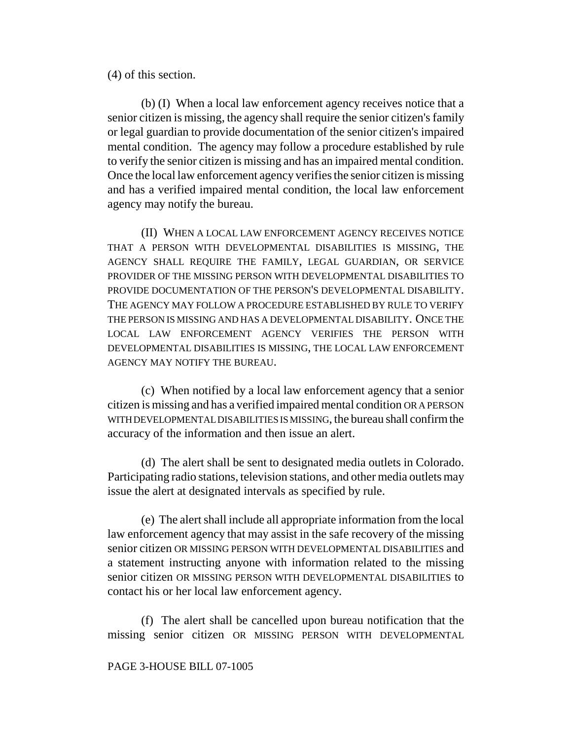(4) of this section.

(b) (I) When a local law enforcement agency receives notice that a senior citizen is missing, the agency shall require the senior citizen's family or legal guardian to provide documentation of the senior citizen's impaired mental condition. The agency may follow a procedure established by rule to verify the senior citizen is missing and has an impaired mental condition. Once the local law enforcement agency verifies the senior citizen is missing and has a verified impaired mental condition, the local law enforcement agency may notify the bureau.

(II) WHEN A LOCAL LAW ENFORCEMENT AGENCY RECEIVES NOTICE THAT A PERSON WITH DEVELOPMENTAL DISABILITIES IS MISSING, THE AGENCY SHALL REQUIRE THE FAMILY, LEGAL GUARDIAN, OR SERVICE PROVIDER OF THE MISSING PERSON WITH DEVELOPMENTAL DISABILITIES TO PROVIDE DOCUMENTATION OF THE PERSON'S DEVELOPMENTAL DISABILITY. THE AGENCY MAY FOLLOW A PROCEDURE ESTABLISHED BY RULE TO VERIFY THE PERSON IS MISSING AND HAS A DEVELOPMENTAL DISABILITY. ONCE THE LOCAL LAW ENFORCEMENT AGENCY VERIFIES THE PERSON WITH DEVELOPMENTAL DISABILITIES IS MISSING, THE LOCAL LAW ENFORCEMENT AGENCY MAY NOTIFY THE BUREAU.

(c) When notified by a local law enforcement agency that a senior citizen is missing and has a verified impaired mental condition OR A PERSON WITH DEVELOPMENTAL DISABILITIES IS MISSING, the bureau shall confirm the accuracy of the information and then issue an alert.

(d) The alert shall be sent to designated media outlets in Colorado. Participating radio stations, television stations, and other media outlets may issue the alert at designated intervals as specified by rule.

(e) The alert shall include all appropriate information from the local law enforcement agency that may assist in the safe recovery of the missing senior citizen OR MISSING PERSON WITH DEVELOPMENTAL DISABILITIES and a statement instructing anyone with information related to the missing senior citizen OR MISSING PERSON WITH DEVELOPMENTAL DISABILITIES to contact his or her local law enforcement agency.

(f) The alert shall be cancelled upon bureau notification that the missing senior citizen OR MISSING PERSON WITH DEVELOPMENTAL

## PAGE 3-HOUSE BILL 07-1005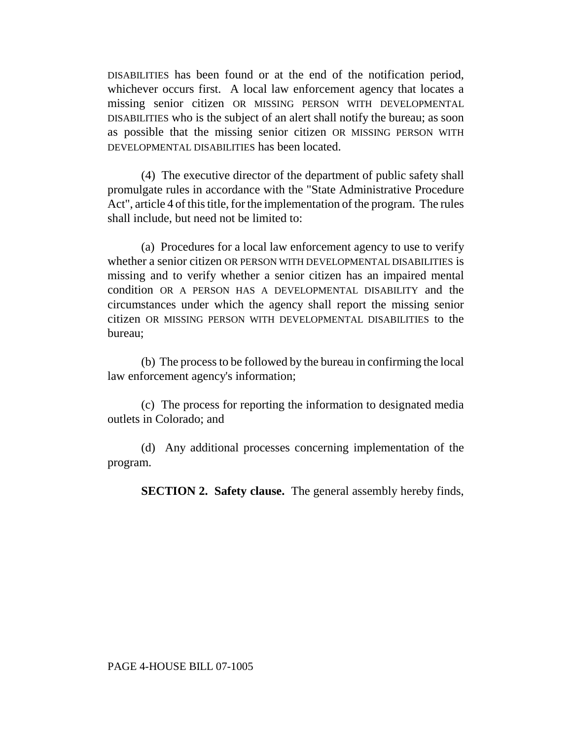DISABILITIES has been found or at the end of the notification period, whichever occurs first. A local law enforcement agency that locates a missing senior citizen OR MISSING PERSON WITH DEVELOPMENTAL DISABILITIES who is the subject of an alert shall notify the bureau; as soon as possible that the missing senior citizen OR MISSING PERSON WITH DEVELOPMENTAL DISABILITIES has been located.

(4) The executive director of the department of public safety shall promulgate rules in accordance with the "State Administrative Procedure Act", article 4 of this title, for the implementation of the program. The rules shall include, but need not be limited to:

(a) Procedures for a local law enforcement agency to use to verify whether a senior citizen OR PERSON WITH DEVELOPMENTAL DISABILITIES is missing and to verify whether a senior citizen has an impaired mental condition OR A PERSON HAS A DEVELOPMENTAL DISABILITY and the circumstances under which the agency shall report the missing senior citizen OR MISSING PERSON WITH DEVELOPMENTAL DISABILITIES to the bureau;

(b) The process to be followed by the bureau in confirming the local law enforcement agency's information;

(c) The process for reporting the information to designated media outlets in Colorado; and

(d) Any additional processes concerning implementation of the program.

**SECTION 2. Safety clause.** The general assembly hereby finds,